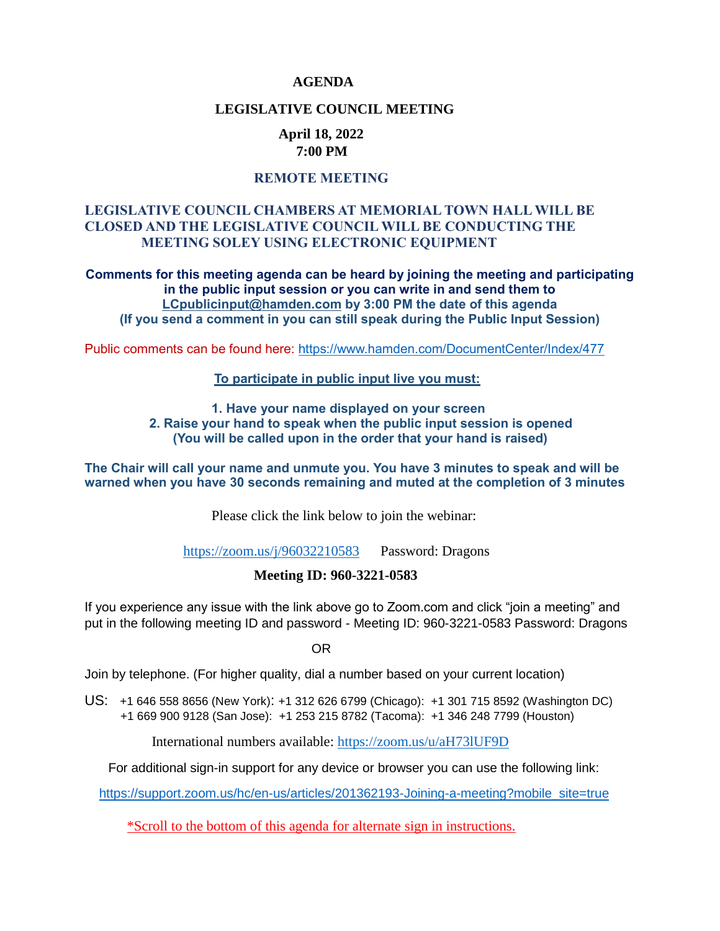#### **AGENDA**

#### **LEGISLATIVE COUNCIL MEETING**

#### **April 18, 2022 7:00 PM**

### **REMOTE MEETING**

### **LEGISLATIVE COUNCIL CHAMBERS AT MEMORIAL TOWN HALL WILL BE CLOSED AND THE LEGISLATIVE COUNCIL WILL BE CONDUCTING THE MEETING SOLEY USING ELECTRONIC EQUIPMENT**

**Comments for this meeting agenda can be heard by joining the meeting and participating in the public input session or you can write in and send them to [LCpublicinput@hamden.com](mailto:LCpublicinput@hamden.com) by 3:00 PM the date of this agenda (If you send a comment in you can still speak during the Public Input Session)**

Public comments can be found here:<https://www.hamden.com/DocumentCenter/Index/477>

#### **To participate in public input live you must:**

**1. Have your name displayed on your screen 2. Raise your hand to speak when the public input session is opened (You will be called upon in the order that your hand is raised)** 

**The Chair will call your name and unmute you. You have 3 minutes to speak and will be warned when you have 30 seconds remaining and muted at the completion of 3 minutes**

Please click the link below to join the webinar:

<https://zoom.us/j/96032210583>Password: Dragons

#### **Meeting ID: 960-3221-0583**

If you experience any issue with the link above go to Zoom.com and click "join a meeting" and put in the following meeting ID and password - Meeting ID: 960-3221-0583 Password: Dragons

OR

Join by telephone. (For higher quality, dial a number based on your current location)

US: [+1 646 558 8656 \(New York\)](tel:+16465588656): [+1 312 626 6799 \(Chicago\):](tel:+13126266799) [+1 301 715 8592 \(Washington DC\)](tel:+13017158592) +1 669 900 9128 (San Jose): [+1 253 215 8782 \(Tacoma\):](tel:+12532158782) [+1 346 248 7799 \(Houston\)](tel:+13462487799)

International numbers available:<https://zoom.us/u/aH73lUF9D>

For additional sign-in support for any device or browser you can use the following link:

[https://support.zoom.us/hc/en-us/articles/201362193-Joining-a-meeting?mobile\\_site=true](https://support.zoom.us/hc/en-us/articles/201362193-Joining-a-meeting?mobile_site=true)

\*Scroll to the bottom of this agenda for alternate sign in instructions.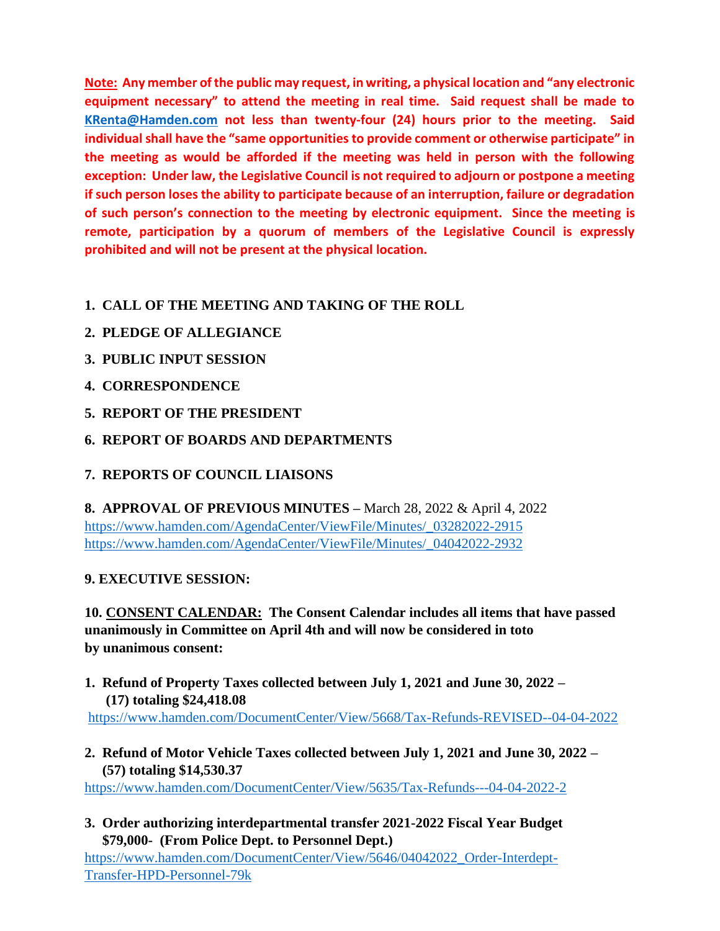**Note: Any member of the public may request, in writing, a physical location and "any electronic equipment necessary" to attend the meeting in real time. Said request shall be made to [KRenta@Hamden.com](mailto:KRenta@Hamden.com) not less than twenty-four (24) hours prior to the meeting. Said individual shall have the "same opportunities to provide comment or otherwise participate" in the meeting as would be afforded if the meeting was held in person with the following exception: Under law, the Legislative Council is not required to adjourn or postpone a meeting if such person loses the ability to participate because of an interruption, failure or degradation of such person's connection to the meeting by electronic equipment. Since the meeting is remote, participation by a quorum of members of the Legislative Council is expressly prohibited and will not be present at the physical location.**

# **1. CALL OF THE MEETING AND TAKING OF THE ROLL**

# **2. PLEDGE OF ALLEGIANCE**

- **3. PUBLIC INPUT SESSION**
- **4. CORRESPONDENCE**
- **5. REPORT OF THE PRESIDENT**
- **6. REPORT OF BOARDS AND DEPARTMENTS**

# **7. REPORTS OF COUNCIL LIAISONS**

**8. APPROVAL OF PREVIOUS MINUTES –** March 28, 2022 & April 4, 2022 [https://www.hamden.com/AgendaCenter/ViewFile/Minutes/\\_03282022-2915](https://www.hamden.com/AgendaCenter/ViewFile/Minutes/_03282022-2915) [https://www.hamden.com/AgendaCenter/ViewFile/Minutes/\\_04042022-2932](https://www.hamden.com/AgendaCenter/ViewFile/Minutes/_04042022-2932)

## **9. EXECUTIVE SESSION:**

**10. CONSENT CALENDAR: The Consent Calendar includes all items that have passed unanimously in Committee on April 4th and will now be considered in toto by unanimous consent:**

**1. Refund of Property Taxes collected between July 1, 2021 and June 30, 2022 – (17) totaling \$24,418.08**

<https://www.hamden.com/DocumentCenter/View/5668/Tax-Refunds-REVISED--04-04-2022>

**2. Refund of Motor Vehicle Taxes collected between July 1, 2021 and June 30, 2022 – (57) totaling \$14,530.37**

<https://www.hamden.com/DocumentCenter/View/5635/Tax-Refunds---04-04-2022-2>

**3. Order authorizing interdepartmental transfer 2021-2022 Fiscal Year Budget \$79,000- (From Police Dept. to Personnel Dept.)**

[https://www.hamden.com/DocumentCenter/View/5646/04042022\\_Order-Interdept-](https://www.hamden.com/DocumentCenter/View/5646/04042022_Order-Interdept-%20%20%20%20%20%20%20%20%20Transfer-HPD-Personnel-79k)Transfer-HPD-Personnel-79k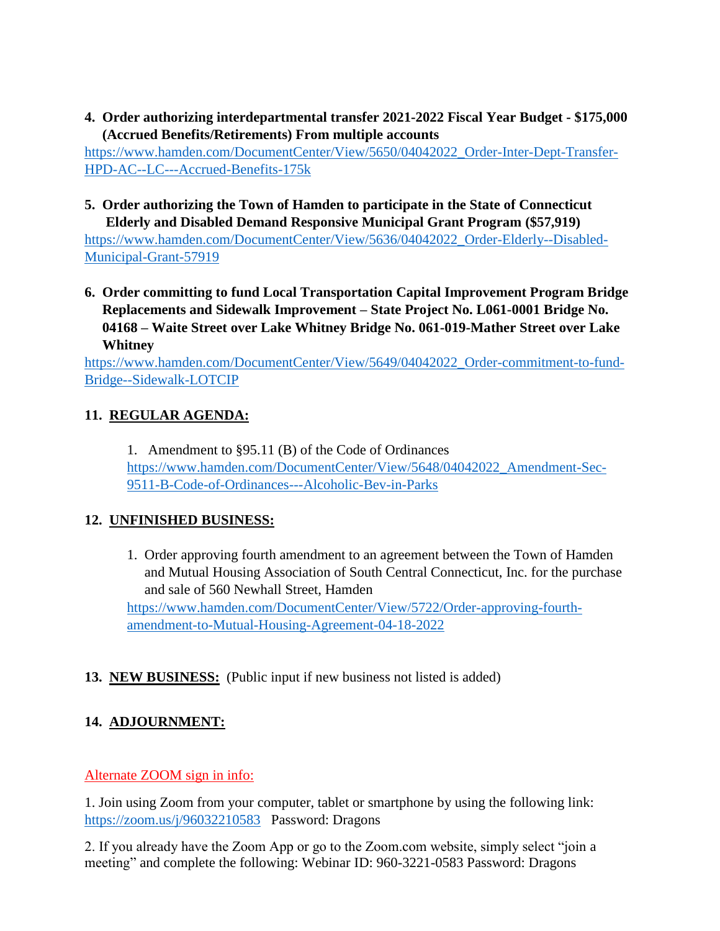**4. Order authorizing interdepartmental transfer 2021-2022 Fiscal Year Budget - \$175,000 (Accrued Benefits/Retirements) From multiple accounts**

[https://www.hamden.com/DocumentCenter/View/5650/04042022\\_Order-Inter-Dept-Transfer-](https://www.hamden.com/DocumentCenter/View/5650/04042022_Order-Inter-Dept-Transfer-HPD-AC--LC---Accrued-Benefits-175k)[HPD-AC--LC---Accrued-Benefits-175k](https://www.hamden.com/DocumentCenter/View/5650/04042022_Order-Inter-Dept-Transfer-HPD-AC--LC---Accrued-Benefits-175k)

**5. Order authorizing the Town of Hamden to participate in the State of Connecticut Elderly and Disabled Demand Responsive Municipal Grant Program (\$57,919)**

[https://www.hamden.com/DocumentCenter/View/5636/04042022\\_Order-Elderly--Disabled-](https://www.hamden.com/DocumentCenter/View/5636/04042022_Order-Elderly--Disabled-Municipal-Grant-57919)[Municipal-Grant-57919](https://www.hamden.com/DocumentCenter/View/5636/04042022_Order-Elderly--Disabled-Municipal-Grant-57919)

**6. Order committing to fund Local Transportation Capital Improvement Program Bridge Replacements and Sidewalk Improvement – State Project No. L061-0001 Bridge No. 04168 – Waite Street over Lake Whitney Bridge No. 061-019-Mather Street over Lake Whitney**

[https://www.hamden.com/DocumentCenter/View/5649/04042022\\_Order-commitment-to-fund-](https://www.hamden.com/DocumentCenter/View/5649/04042022_Order-commitment-to-fund-Bridge--Sidewalk-LOTCIP)[Bridge--Sidewalk-LOTCIP](https://www.hamden.com/DocumentCenter/View/5649/04042022_Order-commitment-to-fund-Bridge--Sidewalk-LOTCIP)

## **11. REGULAR AGENDA:**

1. Amendment to §95.11 (B) of the Code of Ordinances [https://www.hamden.com/DocumentCenter/View/5648/04042022\\_Amendment-Sec-](https://www.hamden.com/DocumentCenter/View/5648/04042022_Amendment-Sec-9511-B-Code-of-Ordinances---Alcoholic-Bev-in-Parks)[9511-B-Code-of-Ordinances---Alcoholic-Bev-in-Parks](https://www.hamden.com/DocumentCenter/View/5648/04042022_Amendment-Sec-9511-B-Code-of-Ordinances---Alcoholic-Bev-in-Parks)

## **12. UNFINISHED BUSINESS:**

1. Order approving fourth amendment to an agreement between the Town of Hamden and Mutual Housing Association of South Central Connecticut, Inc. for the purchase and sale of 560 Newhall Street, Hamden

[https://www.hamden.com/DocumentCenter/View/5722/Order-approving-fourth](https://www.hamden.com/DocumentCenter/View/5722/Order-approving-fourth-amendment-to-Mutual-Housing-Agreement-04-18-2022)[amendment-to-Mutual-Housing-Agreement-04-18-2022](https://www.hamden.com/DocumentCenter/View/5722/Order-approving-fourth-amendment-to-Mutual-Housing-Agreement-04-18-2022)

# **13. NEW BUSINESS:** (Public input if new business not listed is added)

# **14. ADJOURNMENT:**

## Alternate ZOOM sign in info:

1. Join using Zoom from your computer, tablet or smartphone by using the following link: <https://zoom.us/j/96032210583>Password: Dragons

2. If you already have the Zoom App or go to the Zoom.com website, simply select "join a meeting" and complete the following: Webinar ID: 960-3221-0583 Password: Dragons